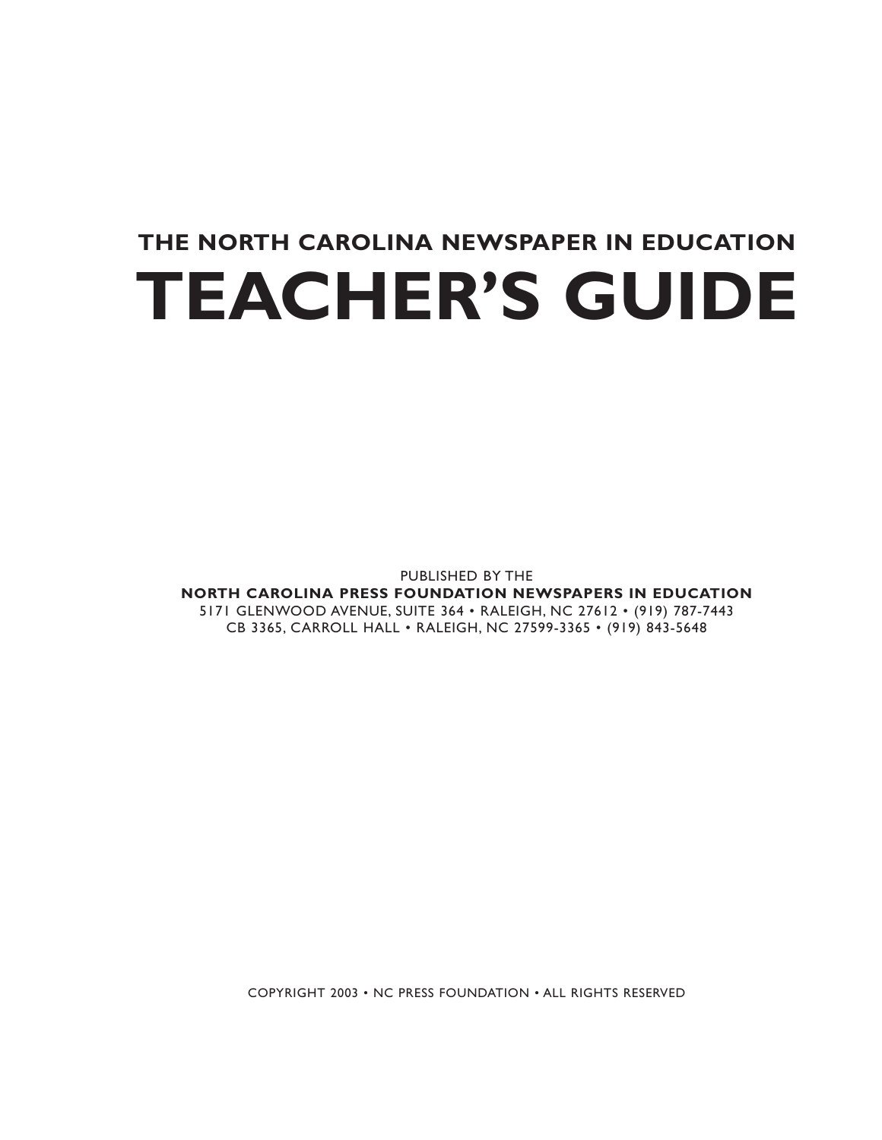# **THE NORTH CAROLINA NEWSPAPER IN EDUCATION TEACHER'S GUIDE**

PUBLISHED BY THE

**NORTH CAROLINA PRESS FOUNDATION NEWSPAPERS IN EDUCATION** 5171 GLENWOOD AVENUE, SUITE 364 • RALEIGH, NC 27612 • (919) 787-7443 CB 3365, CARROLL HALL • RALEIGH, NC 27599-3365 • (919) 843-5648

COPYRIGHT 2003 • NC PRESS FOUNDATION • ALL RIGHTS RESERVED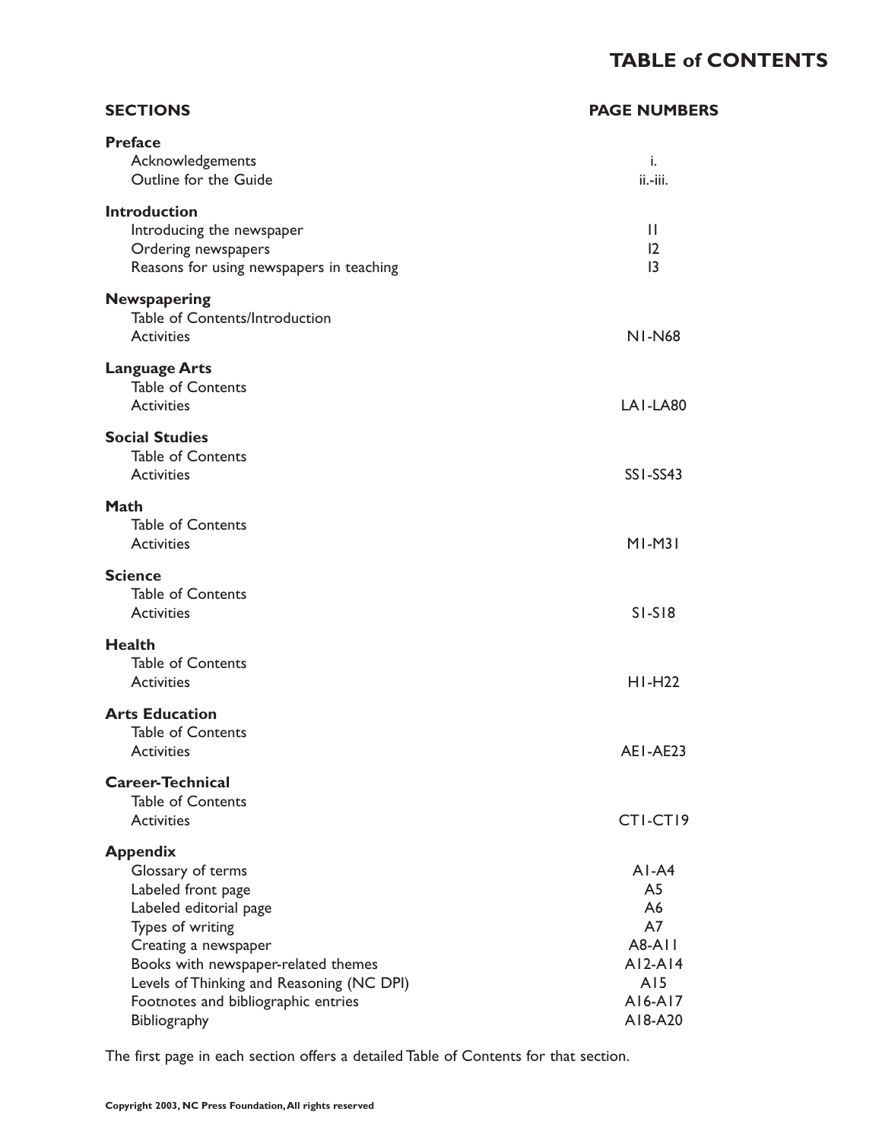## **TABLE of CONTENTS**

A18-A20

| <b>SECTIONS</b>                                                                                                                                                                                                                                             | <b>PAGE NUMBERS</b>                                                       |
|-------------------------------------------------------------------------------------------------------------------------------------------------------------------------------------------------------------------------------------------------------------|---------------------------------------------------------------------------|
| <b>Preface</b><br>Acknowledgements<br>Outline for the Guide                                                                                                                                                                                                 | i.<br>ii.-iii.                                                            |
| <b>Introduction</b><br>Introducing the newspaper<br>Ordering newspapers<br>Reasons for using newspapers in teaching                                                                                                                                         | $\mathbf{H}$<br>12<br>13                                                  |
| Newspapering<br>Table of Contents/Introduction<br><b>Activities</b>                                                                                                                                                                                         | <b>NI-N68</b>                                                             |
| <b>Language Arts</b><br><b>Table of Contents</b><br><b>Activities</b>                                                                                                                                                                                       | LAI-LA80                                                                  |
| <b>Social Studies</b><br><b>Table of Contents</b><br><b>Activities</b>                                                                                                                                                                                      | SSI-SS43                                                                  |
| Math<br><b>Table of Contents</b><br><b>Activities</b>                                                                                                                                                                                                       | $M1-M31$                                                                  |
| <b>Science</b><br><b>Table of Contents</b><br><b>Activities</b>                                                                                                                                                                                             | $SI-SI8$                                                                  |
| <b>Health</b><br><b>Table of Contents</b><br><b>Activities</b>                                                                                                                                                                                              | $H1-H22$                                                                  |
| <b>Arts Education</b><br><b>Table of Contents</b><br><b>Activities</b>                                                                                                                                                                                      | AEI-AE23                                                                  |
| <b>Career-Technical</b><br><b>Table of Contents</b><br><b>Activities</b>                                                                                                                                                                                    | CTI-CTI9                                                                  |
| <b>Appendix</b><br>Glossary of terms<br>Labeled front page<br>Labeled editorial page<br>Types of writing<br>Creating a newspaper<br>Books with newspaper-related themes<br>Levels of Thinking and Reasoning (NC DPI)<br>Footnotes and bibliographic entries | $AI-AA$<br>A5<br>A6<br>A7<br><b>A8-A11</b><br>$AI2-AI4$<br>AI5<br>A16-A17 |

The first page in each section offers a detailed Table of Contents for that section.

Bibliography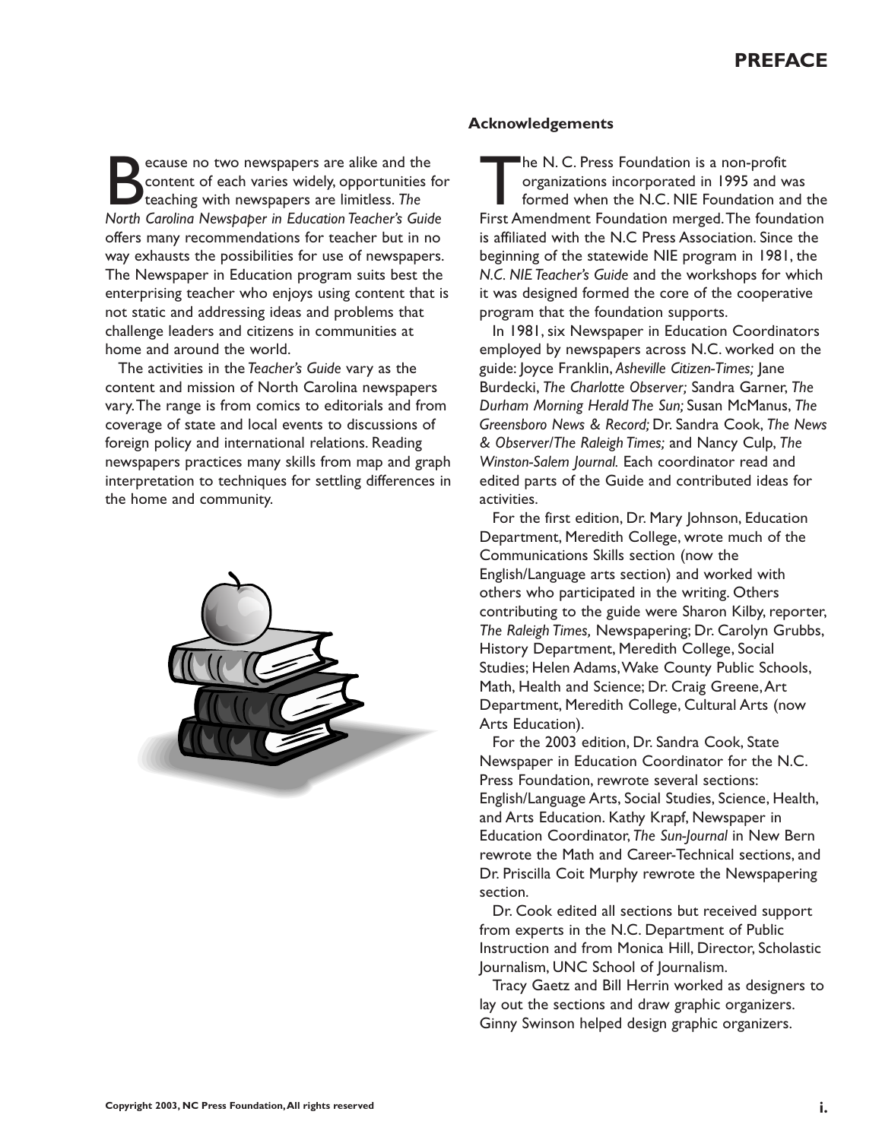Because no two newspapers are alike and the<br>content of each varies widely, opportunities<br>teaching with newspapers are limitless. The<br>North Carolina Newsbaber in Education Teacher's Guid content of each varies widely, opportunities for teaching with newspapers are limitless. *The North Carolina Newspaper in Education Teacher's Guide* offers many recommendations for teacher but in no way exhausts the possibilities for use of newspapers. The Newspaper in Education program suits best the enterprising teacher who enjoys using content that is not static and addressing ideas and problems that challenge leaders and citizens in communities at home and around the world.

The activities in the *Teacher's Guide* vary as the content and mission of North Carolina newspapers vary.The range is from comics to editorials and from coverage of state and local events to discussions of foreign policy and international relations. Reading newspapers practices many skills from map and graph interpretation to techniques for settling differences in the home and community.



#### **Acknowledgements**

The N. C. Press Foundation is a non-profit<br>organizations incorporated in 1995 and v<br>formed when the N.C. NIE Foundation a<br>First Amendment Foundation merged. The found organizations incorporated in 1995 and was formed when the N.C. NIE Foundation and the First Amendment Foundation merged.The foundation is affiliated with the N.C Press Association. Since the beginning of the statewide NIE program in 1981, the *N.C. NIE Teacher's Guide* and the workshops for which it was designed formed the core of the cooperative program that the foundation supports.

In 1981, six Newspaper in Education Coordinators employed by newspapers across N.C. worked on the guide: Joyce Franklin, *Asheville Citizen-Times;* Jane Burdecki, *The Charlotte Observer;* Sandra Garner, *The Durham Morning Herald The Sun;* Susan McManus, *The Greensboro News & Record;* Dr. Sandra Cook, *The News & Observer/The Raleigh Times;* and Nancy Culp, *The Winston-Salem Journal.* Each coordinator read and edited parts of the Guide and contributed ideas for activities.

For the first edition, Dr. Mary Johnson, Education Department, Meredith College, wrote much of the Communications Skills section (now the English/Language arts section) and worked with others who participated in the writing. Others contributing to the guide were Sharon Kilby, reporter, *The Raleigh Times,* Newspapering; Dr. Carolyn Grubbs, History Department, Meredith College, Social Studies; Helen Adams,Wake County Public Schools, Math, Health and Science; Dr. Craig Greene,Art Department, Meredith College, Cultural Arts (now Arts Education).

For the 2003 edition, Dr. Sandra Cook, State Newspaper in Education Coordinator for the N.C. Press Foundation, rewrote several sections: English/Language Arts, Social Studies, Science, Health, and Arts Education. Kathy Krapf, Newspaper in Education Coordinator, *The Sun-Journal* in New Bern rewrote the Math and Career-Technical sections, and Dr. Priscilla Coit Murphy rewrote the Newspapering section.

Dr. Cook edited all sections but received support from experts in the N.C. Department of Public Instruction and from Monica Hill, Director, Scholastic Journalism, UNC School of Journalism.

Tracy Gaetz and Bill Herrin worked as designers to lay out the sections and draw graphic organizers. Ginny Swinson helped design graphic organizers.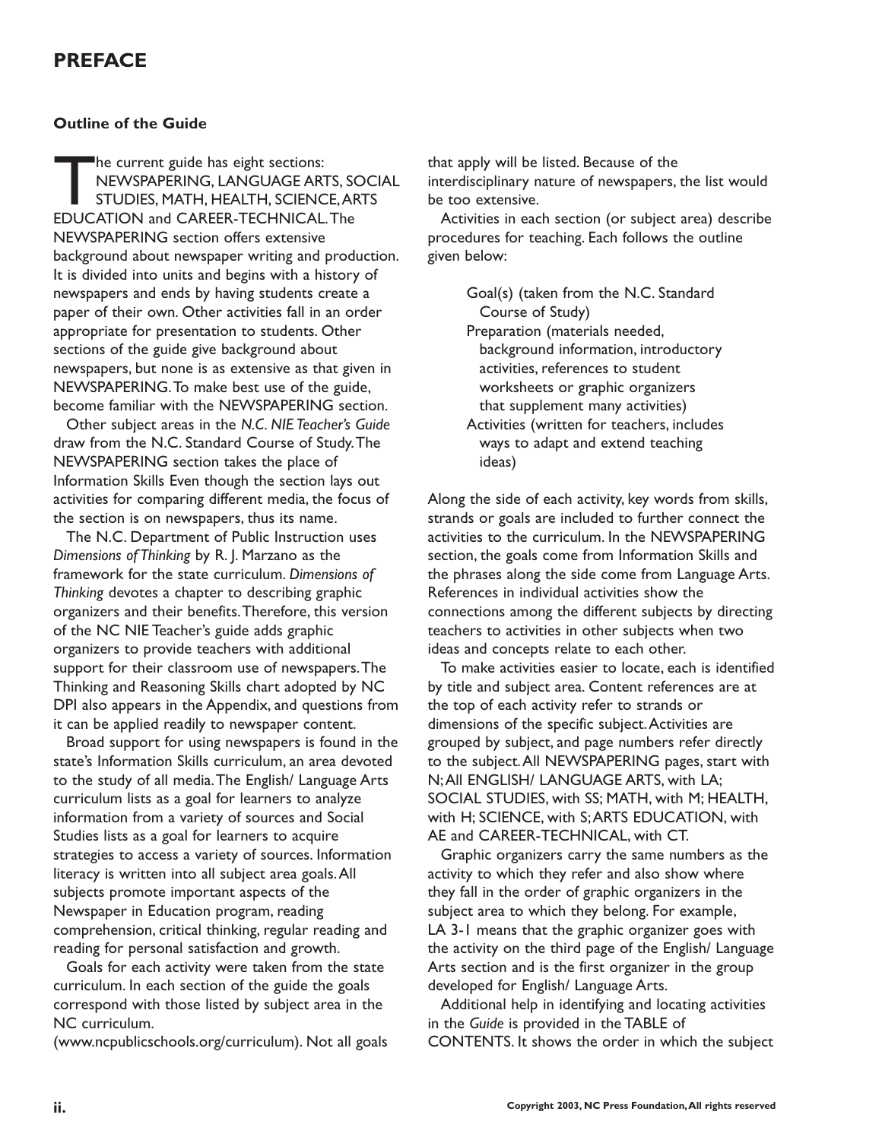## **PREFACE**

#### **Outline of the Guide**

The current guide has eight sections:<br>NEWSPAPERING, LANGUAGE ARE<br>STUDIES, MATH, HEALTH, SCIENCEDUCATION and CAREER-TECHNICAL NEWSPAPERING, LANGUAGE ARTS, SOCIAL STUDIES, MATH, HEALTH, SCIENCE,ARTS EDUCATION and CAREER-TECHNICAL.The NEWSPAPERING section offers extensive background about newspaper writing and production. It is divided into units and begins with a history of newspapers and ends by having students create a paper of their own. Other activities fall in an order appropriate for presentation to students. Other sections of the guide give background about newspapers, but none is as extensive as that given in NEWSPAPERING.To make best use of the guide, become familiar with the NEWSPAPERING section.

Other subject areas in the *N.C. NIE Teacher's Guide* draw from the N.C. Standard Course of Study.The NEWSPAPERING section takes the place of Information Skills Even though the section lays out activities for comparing different media, the focus of the section is on newspapers, thus its name.

The N.C. Department of Public Instruction uses *Dimensions of Thinking* by R. J. Marzano as the framework for the state curriculum. *Dimensions of Thinking* devotes a chapter to describing graphic organizers and their benefits.Therefore, this version of the NC NIE Teacher's guide adds graphic organizers to provide teachers with additional support for their classroom use of newspapers.The Thinking and Reasoning Skills chart adopted by NC DPI also appears in the Appendix, and questions from it can be applied readily to newspaper content.

Broad support for using newspapers is found in the state's Information Skills curriculum, an area devoted to the study of all media.The English/ Language Arts curriculum lists as a goal for learners to analyze information from a variety of sources and Social Studies lists as a goal for learners to acquire strategies to access a variety of sources. Information literacy is written into all subject area goals.All subjects promote important aspects of the Newspaper in Education program, reading comprehension, critical thinking, regular reading and reading for personal satisfaction and growth.

Goals for each activity were taken from the state curriculum. In each section of the guide the goals correspond with those listed by subject area in the NC curriculum.

(www.ncpublicschools.org/curriculum). Not all goals

that apply will be listed. Because of the

interdisciplinary nature of newspapers, the list would be too extensive.

Activities in each section (or subject area) describe procedures for teaching. Each follows the outline given below:

> Goal(s) (taken from the N.C. Standard Course of Study)

Preparation (materials needed, background information, introductory activities, references to student worksheets or graphic organizers that supplement many activities)

Activities (written for teachers, includes ways to adapt and extend teaching ideas)

Along the side of each activity, key words from skills, strands or goals are included to further connect the activities to the curriculum. In the NEWSPAPERING section, the goals come from Information Skills and the phrases along the side come from Language Arts. References in individual activities show the connections among the different subjects by directing teachers to activities in other subjects when two ideas and concepts relate to each other.

To make activities easier to locate, each is identified by title and subject area. Content references are at the top of each activity refer to strands or dimensions of the specific subject.Activities are grouped by subject, and page numbers refer directly to the subject.All NEWSPAPERING pages, start with N;All ENGLISH/ LANGUAGE ARTS, with LA; SOCIAL STUDIES, with SS; MATH, with M; HEALTH, with H; SCIENCE, with S;ARTS EDUCATION, with AE and CAREER-TECHNICAL, with CT.

Graphic organizers carry the same numbers as the activity to which they refer and also show where they fall in the order of graphic organizers in the subject area to which they belong. For example, LA 3-1 means that the graphic organizer goes with the activity on the third page of the English/ Language Arts section and is the first organizer in the group developed for English/ Language Arts.

Additional help in identifying and locating activities in the *Guide* is provided in the TABLE of CONTENTS. It shows the order in which the subject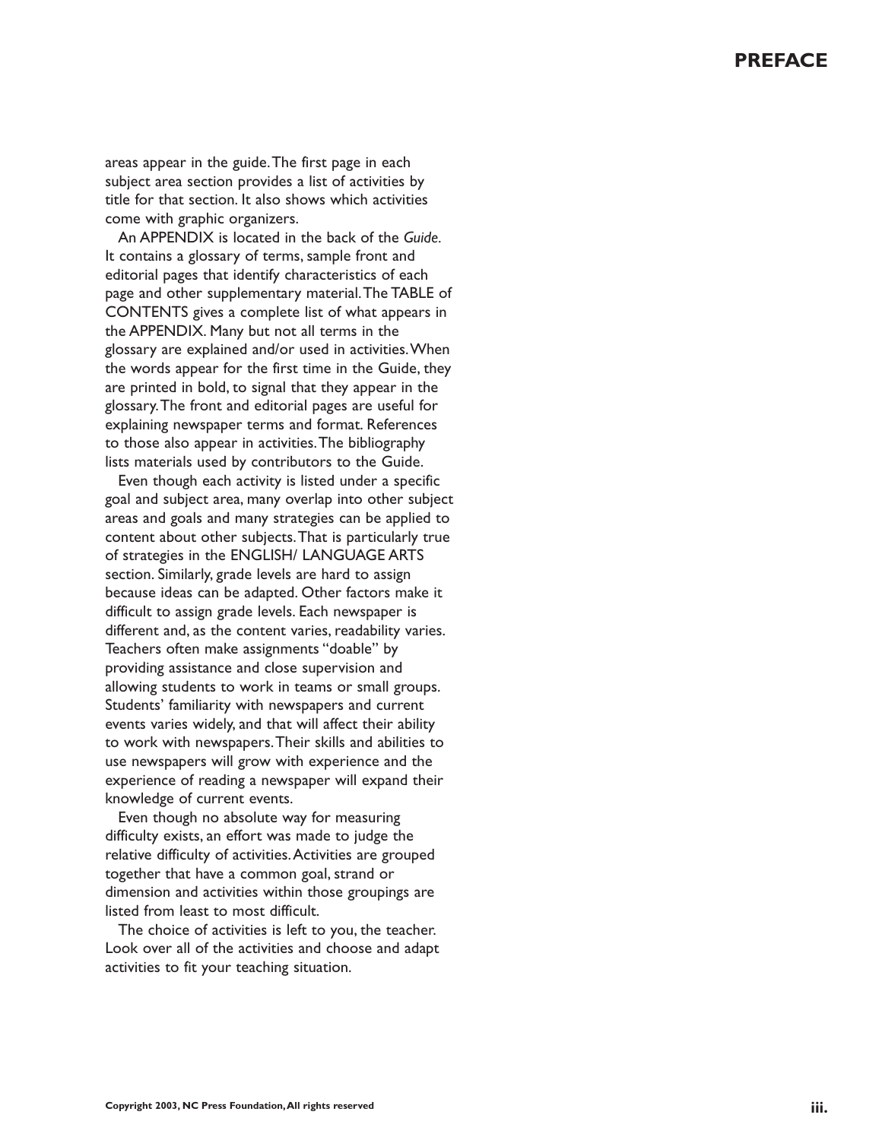areas appear in the guide.The first page in each subject area section provides a list of activities by title for that section. It also shows which activities come with graphic organizers.

An APPENDIX is located in the back of the *Guide.* It contains a glossary of terms, sample front and editorial pages that identify characteristics of each page and other supplementary material.The TABLE of CONTENTS gives a complete list of what appears in the APPENDIX. Many but not all terms in the glossary are explained and/or used in activities.When the words appear for the first time in the Guide, they are printed in bold, to signal that they appear in the glossary.The front and editorial pages are useful for explaining newspaper terms and format. References to those also appear in activities.The bibliography lists materials used by contributors to the Guide.

Even though each activity is listed under a specific goal and subject area, many overlap into other subject areas and goals and many strategies can be applied to content about other subjects.That is particularly true of strategies in the ENGLISH/ LANGUAGE ARTS section. Similarly, grade levels are hard to assign because ideas can be adapted. Other factors make it difficult to assign grade levels. Each newspaper is different and, as the content varies, readability varies. Teachers often make assignments "doable" by providing assistance and close supervision and allowing students to work in teams or small groups. Students' familiarity with newspapers and current events varies widely, and that will affect their ability to work with newspapers.Their skills and abilities to use newspapers will grow with experience and the experience of reading a newspaper will expand their knowledge of current events.

Even though no absolute way for measuring difficulty exists, an effort was made to judge the relative difficulty of activities.Activities are grouped together that have a common goal, strand or dimension and activities within those groupings are listed from least to most difficult.

The choice of activities is left to you, the teacher. Look over all of the activities and choose and adapt activities to fit your teaching situation.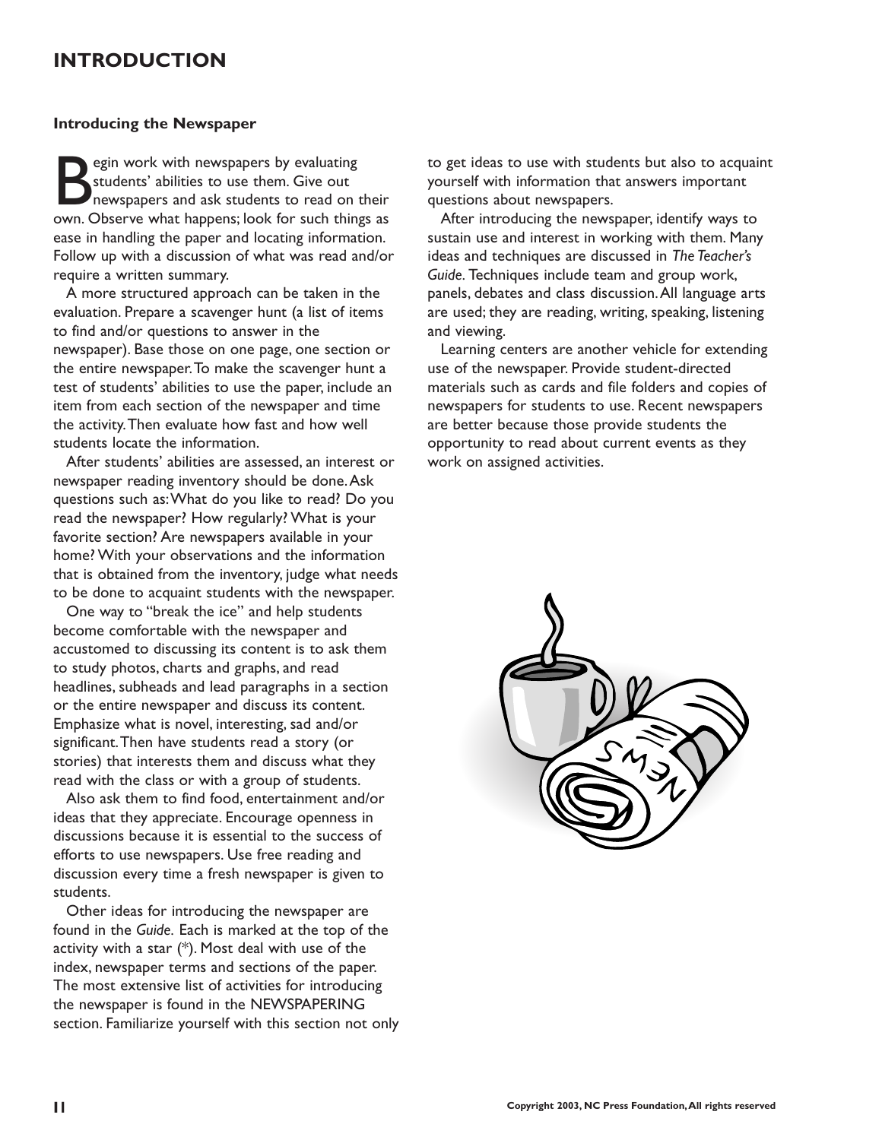## **INTRODUCTION**

#### **Introducing the Newspaper**

Equin work with newspapers by evaluating<br>students' abilities to use them. Give out<br>newspapers and ask students to read on<br>own. Observe what happens: look for such thin students' abilities to use them. Give out newspapers and ask students to read on their own. Observe what happens; look for such things as ease in handling the paper and locating information. Follow up with a discussion of what was read and/or require a written summary.

A more structured approach can be taken in the evaluation. Prepare a scavenger hunt (a list of items to find and/or questions to answer in the newspaper). Base those on one page, one section or the entire newspaper.To make the scavenger hunt a test of students' abilities to use the paper, include an item from each section of the newspaper and time the activity.Then evaluate how fast and how well students locate the information.

After students' abilities are assessed, an interest or newspaper reading inventory should be done.Ask questions such as:What do you like to read? Do you read the newspaper? How regularly? What is your favorite section? Are newspapers available in your home? With your observations and the information that is obtained from the inventory, judge what needs to be done to acquaint students with the newspaper.

One way to "break the ice" and help students become comfortable with the newspaper and accustomed to discussing its content is to ask them to study photos, charts and graphs, and read headlines, subheads and lead paragraphs in a section or the entire newspaper and discuss its content. Emphasize what is novel, interesting, sad and/or significant.Then have students read a story (or stories) that interests them and discuss what they read with the class or with a group of students.

Also ask them to find food, entertainment and/or ideas that they appreciate. Encourage openness in discussions because it is essential to the success of efforts to use newspapers. Use free reading and discussion every time a fresh newspaper is given to students.

Other ideas for introducing the newspaper are found in the *Guide.* Each is marked at the top of the activity with a star  $(*)$ . Most deal with use of the index, newspaper terms and sections of the paper. The most extensive list of activities for introducing the newspaper is found in the NEWSPAPERING section. Familiarize yourself with this section not only to get ideas to use with students but also to acquaint yourself with information that answers important questions about newspapers.

After introducing the newspaper, identify ways to sustain use and interest in working with them. Many ideas and techniques are discussed in *The Teacher's Guide.* Techniques include team and group work, panels, debates and class discussion.All language arts are used; they are reading, writing, speaking, listening and viewing.

Learning centers are another vehicle for extending use of the newspaper. Provide student-directed materials such as cards and file folders and copies of newspapers for students to use. Recent newspapers are better because those provide students the opportunity to read about current events as they work on assigned activities.

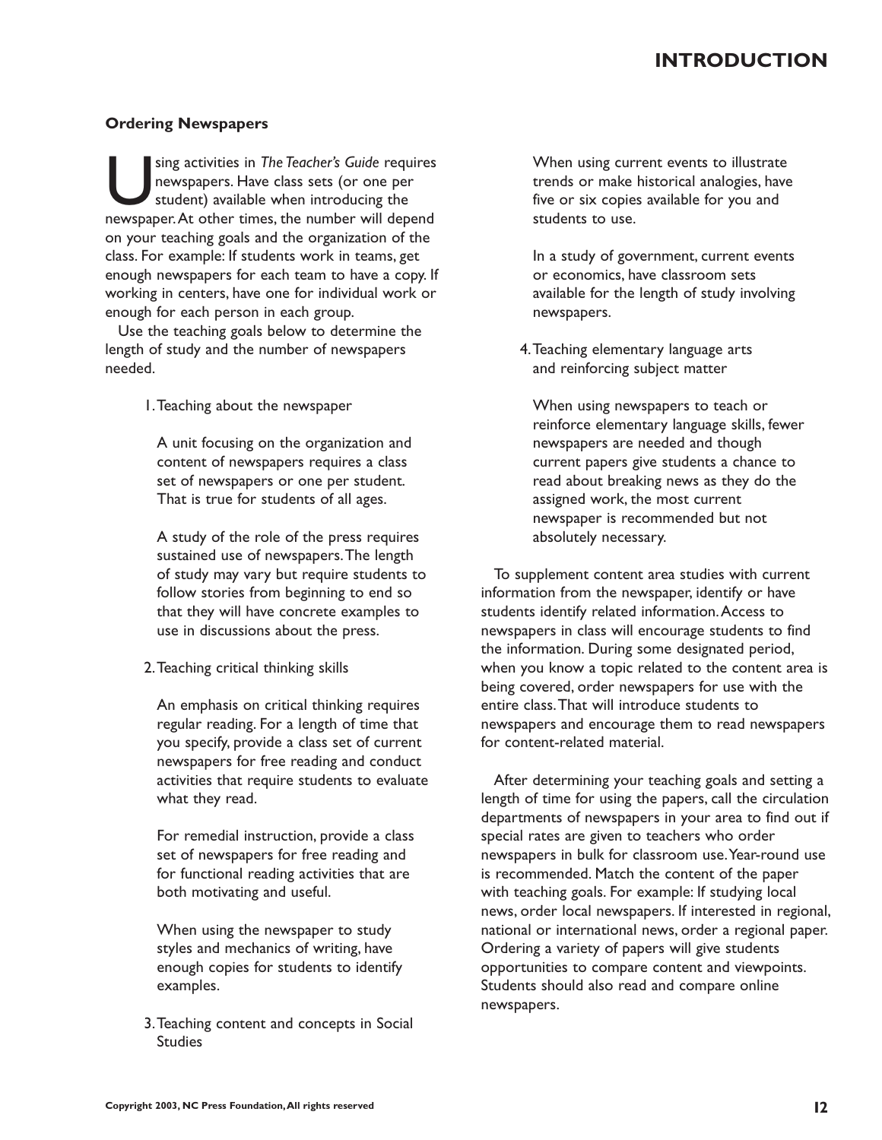## **INTRODUCTION**

#### **Ordering Newspapers**

sing activities in *The Teacher's Guide* requires<br>newspapers. Have class sets (or one per<br>student) available when introducing the<br>newspaper. At other times, the number will depend newspapers. Have class sets (or one per student) available when introducing the on your teaching goals and the organization of the class. For example: If students work in teams, get enough newspapers for each team to have a copy. If working in centers, have one for individual work or enough for each person in each group.

Use the teaching goals below to determine the length of study and the number of newspapers needed.

1.Teaching about the newspaper

A unit focusing on the organization and content of newspapers requires a class set of newspapers or one per student. That is true for students of all ages.

A study of the role of the press requires sustained use of newspapers.The length of study may vary but require students to follow stories from beginning to end so that they will have concrete examples to use in discussions about the press.

2.Teaching critical thinking skills

An emphasis on critical thinking requires regular reading. For a length of time that you specify, provide a class set of current newspapers for free reading and conduct activities that require students to evaluate what they read.

For remedial instruction, provide a class set of newspapers for free reading and for functional reading activities that are both motivating and useful.

When using the newspaper to study styles and mechanics of writing, have enough copies for students to identify examples.

3.Teaching content and concepts in Social Studies

When using current events to illustrate trends or make historical analogies, have five or six copies available for you and students to use.

In a study of government, current events or economics, have classroom sets available for the length of study involving newspapers.

4.Teaching elementary language arts and reinforcing subject matter

When using newspapers to teach or reinforce elementary language skills, fewer newspapers are needed and though current papers give students a chance to read about breaking news as they do the assigned work, the most current newspaper is recommended but not absolutely necessary.

To supplement content area studies with current information from the newspaper, identify or have students identify related information.Access to newspapers in class will encourage students to find the information. During some designated period, when you know a topic related to the content area is being covered, order newspapers for use with the entire class.That will introduce students to newspapers and encourage them to read newspapers for content-related material.

After determining your teaching goals and setting a length of time for using the papers, call the circulation departments of newspapers in your area to find out if special rates are given to teachers who order newspapers in bulk for classroom use.Year-round use is recommended. Match the content of the paper with teaching goals. For example: If studying local news, order local newspapers. If interested in regional, national or international news, order a regional paper. Ordering a variety of papers will give students opportunities to compare content and viewpoints. Students should also read and compare online newspapers.